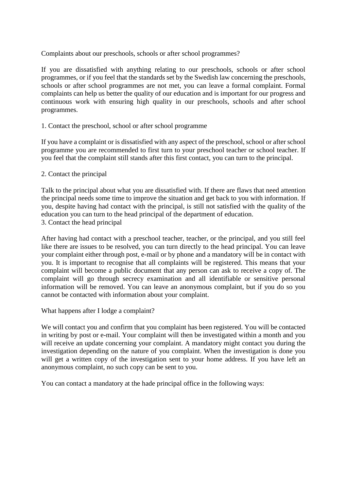Complaints about our preschools, schools or after school programmes?

If you are dissatisfied with anything relating to our preschools, schools or after school programmes, or if you feel that the standards set by the Swedish law concerning the preschools, schools or after school programmes are not met, you can leave a formal complaint. Formal complaints can help us better the quality of our education and is important for our progress and continuous work with ensuring high quality in our preschools, schools and after school programmes.

## 1. Contact the preschool, school or after school programme

If you have a complaint or is dissatisfied with any aspect of the preschool, school or after school programme you are recommended to first turn to your preschool teacher or school teacher. If you feel that the complaint still stands after this first contact, you can turn to the principal.

## 2. Contact the principal

Talk to the principal about what you are dissatisfied with. If there are flaws that need attention the principal needs some time to improve the situation and get back to you with information. If you, despite having had contact with the principal, is still not satisfied with the quality of the education you can turn to the head principal of the department of education. 3. Contact the head principal

After having had contact with a preschool teacher, teacher, or the principal, and you still feel like there are issues to be resolved, you can turn directly to the head principal. You can leave your complaint either through post, e-mail or by phone and a mandatory will be in contact with you. It is important to recognise that all complaints will be registered. This means that your complaint will become a public document that any person can ask to receive a copy of. The complaint will go through secrecy examination and all identifiable or sensitive personal information will be removed. You can leave an anonymous complaint, but if you do so you cannot be contacted with information about your complaint.

What happens after I lodge a complaint?

We will contact you and confirm that you complaint has been registered. You will be contacted in writing by post or e-mail. Your complaint will then be investigated within a month and you will receive an update concerning your complaint. A mandatory might contact you during the investigation depending on the nature of you complaint. When the investigation is done you will get a written copy of the investigation sent to your home address. If you have left an anonymous complaint, no such copy can be sent to you.

You can contact a mandatory at the hade principal office in the following ways: